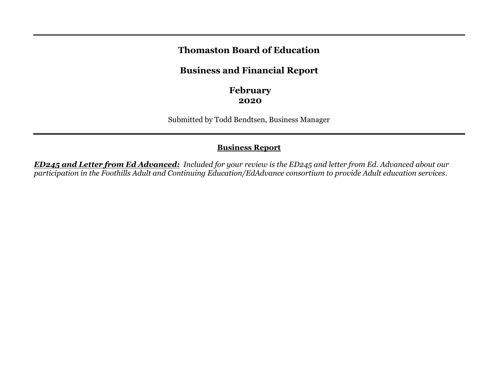## **Thomaston Board of Education**

# **Business and Financial Report**

**February 2020**

Submitted by Todd Bendtsen, Business Manager

## **Business Report**

*ED245 and Letter from Ed Advanced: Included for your review is the ED245 and letter from Ed. Advanced about our participation in the Foothills Adult and Continuing Education/EdAdvance consortium to provide Adult education services.*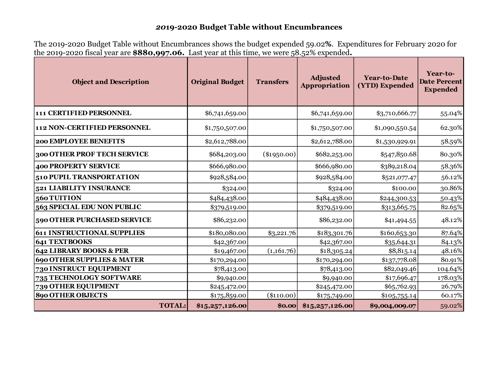### *20***19-2020 Budget Table without Encumbrances**

The 2019-2020 Budget Table without Encumbrances shows the budget expended 59.02**%**. Expenditures for February 2020 for the 2019-2020 fiscal year are **\$880,997.06.** Last year at this time, we were 58.52% expended**.**

| <b>Object and Description</b>         | <b>Original Budget</b> | <b>Transfers</b> | <b>Adjusted</b><br>Appropriation | <b>Year-to-Date</b><br>(YTD) Expended | Year-to-<br><b>Date Percent</b><br><b>Expended</b> |
|---------------------------------------|------------------------|------------------|----------------------------------|---------------------------------------|----------------------------------------------------|
| 111 CERTIFIED PERSONNEL               | \$6,741,659.00         |                  | \$6,741,659.00                   | \$3,710,666.77                        | 55.04%                                             |
| 112 NON-CERTIFIED PERSONNEL           | \$1,750,507.00         |                  | \$1,750,507.00                   | \$1,090,550.54                        | 62.30%                                             |
| <b>200 EMPLOYEE BENEFITS</b>          | \$2,612,788.00         |                  | \$2,612,788.00                   | \$1,530,929.91                        | 58.59%                                             |
| 300 OTHER PROF TECH SERVICE           | \$684,203.00           | $(\$1950.00)$    | \$682,253.00                     | \$547,850.68                          | 80.30%                                             |
| <b>400 PROPERTY SERVICE</b>           | \$666,980.00           |                  | \$666,980.00                     | \$389,218.04                          | 58.36%                                             |
| 510 PUPIL TRANSPORTATION              | \$928,584.00           |                  | \$928,584.00                     | \$521,077.47                          | 56.12%                                             |
| 521 LIABILITY INSURANCE               | \$324.00               |                  | \$324.00                         | \$100.00                              | 30.86%                                             |
| 560 TUITION                           | \$484,438.00           |                  | \$484,438.00                     | \$244,300.53                          | 50.43%                                             |
| 563 SPECIAL EDU NON PUBLIC            | \$379,519.00           |                  | \$379,519.00                     | \$313,665.75                          | 82.65%                                             |
| 590 OTHER PURCHASED SERVICE           | \$86,232.00            |                  | \$86,232.00                      | \$41,494.55                           | 48.12%                                             |
| <b>611 INSTRUCTIONAL SUPPLIES</b>     | \$180,080.00           | \$3,221.76       | \$183,301.76                     | \$160,653.30                          | 87.64%                                             |
| <b>641 TEXTBOOKS</b>                  | \$42,367.00            |                  | \$42,367.00                      | \$35,644.31                           | 84.13%                                             |
| 642 LIBRARY BOOKS & PER               | \$19,467.00            | (1,161.76)       | \$18,305.24                      | \$8,815.14                            | 48.16%                                             |
| <b>690 OTHER SUPPLIES &amp; MATER</b> | \$170,294.00           |                  | \$170,294.00                     | \$137,778.08                          | 80.91%                                             |
| 730 INSTRUCT EQUIPMENT                | \$78,413.00            |                  | \$78,413.00                      | \$82,049.46                           | 104.64%                                            |
| 735 TECHNOLOGY SOFTWARE               | \$9,940.00             |                  | \$9,940.00                       | \$17,696.47                           | 178.03%                                            |
| 739 OTHER EQUIPMENT                   | \$245,472.00           |                  | \$245,472.00                     | \$65,762.93                           | 26.79%                                             |
| <b>890 OTHER OBJECTS</b>              | \$175,859.00           | $(\$110.00)$     | \$175,749.00                     | \$105,755.14                          | 60.17%                                             |
| <b>TOTAL:</b>                         | \$15,257,126.00        | \$0.00           | \$15,257,126.00                  | \$9,004,009.07                        | 59.02%                                             |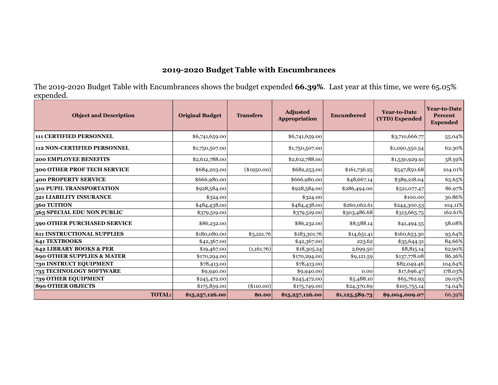# **2019-2020 Budget Table with Encumbrances**

The 2019-2020 Budget Table with Encumbrances shows the budget expended **66.39%**. Last year at this time, we were 65.05% expended.

| <b>Object and Description</b>         | <b>Original Budget</b> | <b>Transfers</b> | Adjusted<br><b>Appropriation</b> | Encumbered     |                | <b>Year-to-Date</b><br>Percent<br><b>Expended</b> |
|---------------------------------------|------------------------|------------------|----------------------------------|----------------|----------------|---------------------------------------------------|
| <b>111 CERTIFIED PERSONNEL</b>        | \$6,741,659.00         |                  | \$6,741,659.00                   |                | \$3,710,666.77 | 55.04%                                            |
| <b>112 NON-CERTIFIED PERSONNEL</b>    | \$1,750,507.00         |                  | \$1,750,507.00                   |                | \$1,090,550.54 | 62.30%                                            |
| <b>200 EMPLOYEE BENEFITS</b>          | \$2,612,788.00         |                  | \$2,612,788.00                   |                | \$1,530,929.91 | 58.59%                                            |
| 300 OTHER PROF TECH SERVICE           | \$684,203.00           | $(\$1950.00)$    | \$682,253.00                     | \$161,736.25   | \$547,850.68   | 104.01%                                           |
| <b>400 PROPERTY SERVICE</b>           | \$666,980.00           |                  | \$666,980.00                     | \$48,667.14    | \$389,218.04   | 65.65%                                            |
| 510 PUPIL TRANSPORTATION              | \$928,584.00           |                  | \$928,584.00                     | \$286,494.00   | \$521,077.47   | 86.97%                                            |
| 521 LIABILITY INSURANCE               | \$324.00               |                  | \$324.00                         |                | \$100.00       | 30.86%                                            |
| 560 TUITION                           | \$484,438.00           |                  | \$484,438.00                     | \$260,062.61   | \$244,300.53   | 104.11%                                           |
| 563 SPECIAL EDU NON PUBLIC            | \$379,519.00           |                  | \$379,519.00                     | \$303,486.68   | \$313,665.75   | 162.61%                                           |
| 590 OTHER PURCHASED SERVICE           | \$86,232.00            |                  | \$86,232.00                      | \$8,588.14     | \$41,494.55    | 58.08%                                            |
| <b>611 INSTRUCTIONAL SUPPLIES</b>     | \$180,080.00           | \$3,221.76       | \$183,301.76                     | \$14,651.41    | \$160,653.30   | 95.64%                                            |
| <b>641 TEXTBOOKS</b>                  | \$42,367.00            |                  | \$42,367.00                      | 223.62         | \$35,644.31    | 84.66%                                            |
| 642 LIBRARY BOOKS & PER               | \$19,467.00            | (1,161.76)       | \$18,305.24                      | 2,699.50       | \$8,815.14     | 62.90%                                            |
| <b>690 OTHER SUPPLIES &amp; MATER</b> | \$170,294.00           |                  | \$170,294.00                     | \$9,121.59     | \$137,778.08   | 86.26%                                            |
| 730 INSTRUCT EQUIPMENT                | \$78,413.00            |                  | \$78,413.00                      |                | \$82,049.46    | 104.64%                                           |
| 735 TECHNOLOGY SOFTWARE               | \$9,940.00             |                  | \$9,940.00                       | 0.00           | \$17,696.47    | 178.03%                                           |
| 739 OTHER EQUIPMENT                   | \$245,472.00           |                  | \$245,472.00                     | \$5,488.10     | \$65,762.93    | 29.03%                                            |
| <b>890 OTHER OBJECTS</b>              | \$175,859.00           | $(\$110.00)$     | \$175,749.00                     | \$24,370.69    | \$105,755.14   | 74.04%                                            |
| <b>TOTAL:</b>                         | \$15,257,126.00        | \$0.00           | \$15,257,126.00                  | \$1,125,589.73 | \$9,004,009.07 | 66.39%                                            |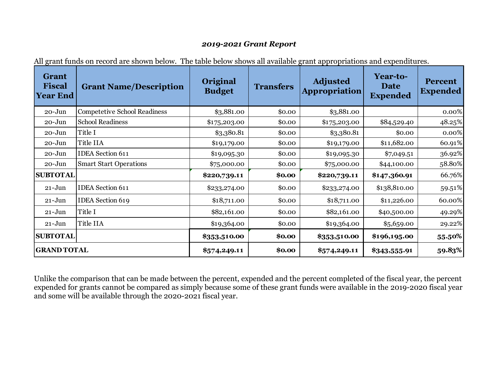#### *2019-2021 Grant Report*

| <b>Grant</b><br><b>Fiscal</b><br><b>Year End</b> | <b>Grant Name/Description</b>       | Original<br><b>Budget</b> | <b>Transfers</b> | <b>Adjusted</b><br><b>Appropriation</b> | Year-to-<br><b>Date</b><br><b>Expended</b> | <b>Percent</b><br><b>Expended</b> |
|--------------------------------------------------|-------------------------------------|---------------------------|------------------|-----------------------------------------|--------------------------------------------|-----------------------------------|
| $20 - Jun$                                       | <b>Competetive School Readiness</b> | \$3,881.00                | \$0.00           | \$3,881.00                              |                                            | 0.00%                             |
| $20 - Jun$                                       | <b>School Readiness</b>             | \$175,203.00              | \$0.00           | \$175,203.00                            | \$84,529.40                                | 48.25%                            |
| $20 - Jun$                                       | Title I                             | \$3,380.81                | \$0.00           | \$3,380.81                              | \$0.00                                     | 0.00%                             |
| $20 - Jun$                                       | Title IIA                           | \$19,179.00               | \$0.00           | \$19,179.00                             | \$11,682.00                                | 60.91%                            |
| $20 - Jun$                                       | <b>IDEA</b> Section 611             | \$19,095.30               | \$0.00           | \$19,095.30                             | \$7,049.51                                 | 36.92%                            |
| $20 - Jun$                                       | <b>Smart Start Operations</b>       | \$75,000.00               | \$0.00           | \$75,000.00                             | \$44,100.00                                | 58.80%                            |
| <b>SUBTOTAL</b>                                  |                                     | \$220,739.11              | \$0.00           | \$220,739.11                            | \$147,360.91                               | 66.76%                            |
| $21 - Jun$                                       | <b>IDEA</b> Section 611             | \$233,274.00              | \$0.00           | \$233,274.00                            | \$138,810.00                               | 59.51%                            |
| $21 - Jun$                                       | <b>IDEA</b> Section 619             | \$18,711.00               | \$0.00           | \$18,711.00                             | \$11,226.00                                | 60.00%                            |
| $21 - Jun$                                       | Title I                             | \$82,161.00               | \$0.00           | \$82,161.00                             | \$40,500.00                                | 49.29%                            |
| $21 - Jun$                                       | Title IIA                           | \$19,364.00               | \$0.00           | \$19,364.00                             | \$5,659.00                                 | 29.22%                            |
| <b>SUBTOTAL</b>                                  |                                     | \$353,510.00              | \$0.00           | \$353,510.00                            | \$196,195.00                               | 55.50%                            |
| <b>GRAND TOTAL</b>                               |                                     | \$574,249.11              | \$0.00           | \$574,249.11                            | \$343,555.91                               | 59.83%                            |

All grant funds on record are shown below. The table below shows all available grant appropriations and expenditures.

Unlike the comparison that can be made between the percent, expended and the percent completed of the fiscal year, the percent expended for grants cannot be compared as simply because some of these grant funds were available in the 2019-2020 fiscal year and some will be available through the 2020-2021 fiscal year.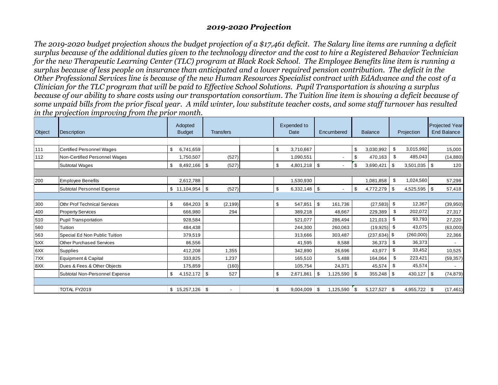#### *2019-2020 Projection*

*The 2019-2020 budget projection shows the budget projection of a \$17,461 deficit. The Salary line items are running a deficit surplus because of the additional duties given to the technology director and the cost to hire a Registered Behavior Technician for the new Therapeutic Learning Center (TLC) program at Black Rock School. The Employee Benefits line item is running a surplus because of less people on insurance than anticipated and a lower required pension contribution. The deficit in the Other Professional Services line is because of the new Human Resources Specialist contract with EdAdvance and the cost of a Clinician for the TLC program that will be paid to Effective School Solutions. Pupil Transportation is showing a surplus because of our ability to share costs using our transportation consortium. The Tuition line item is showing a deficit because of some unpaid bills from the prior fiscal year. A mild winter, low substitute teacher costs, and some staff turnover has resulted in the projection improving from the prior month.* 

| Object | <b>Description</b>                  | Adopted<br><b>Budget</b> | <b>Transfers</b>         |  |    | Expended to<br>Date | Encumbered            | <b>Balance</b>  |     | Projection     | Projected Year-<br><b>End Balance</b> |
|--------|-------------------------------------|--------------------------|--------------------------|--|----|---------------------|-----------------------|-----------------|-----|----------------|---------------------------------------|
|        |                                     |                          |                          |  |    |                     |                       |                 |     |                |                                       |
| 111    | Certified Personnel Wages           | 6.741.659<br>\$          |                          |  | \$ | 3,710,667           |                       | \$<br>3,030,992 | \$  | 3,015,992      | 15,000                                |
| 112    | Non-Certified Personnel Wages       | 1,750,507                | (527)                    |  |    | 1,090,551           |                       | \$<br>470,163   | \$  | 485,043        | (14, 880)                             |
|        | <b>Subtotal Wages</b>               | $8,492,166$ \ \ \$<br>\$ | (527)                    |  | \$ | 4,801,218 \$        |                       | \$<br>3,690,421 | \$  | $3,501,035$ \$ | 120                                   |
|        |                                     |                          |                          |  |    |                     |                       |                 |     |                |                                       |
| 200    | <b>Employee Benefits</b>            | 2,612,788                |                          |  |    | 1,530,930           |                       | 1,081,858       | \$  | 1,024,560      | 57,298                                |
|        | Subtotal Personnel Expense          |                          | (527)                    |  | \$ | $6,332,148$ \$      |                       | \$<br>4,772,279 | -\$ | 4,525,595 \$   | 57,418                                |
|        |                                     |                          |                          |  |    |                     |                       |                 |     |                |                                       |
| 300    | <b>Othr Prof Technical Services</b> | \$<br>$684,203$ \$       | (2, 199)                 |  | \$ | 547,851             | \$<br>161,736         | $(27,583)$ \$   |     | 12,367         | (39, 950)                             |
| 400    | <b>Property Services</b>            | 666,980                  | 294                      |  |    | 389,218             | 48,667                | 229,389         | \$  | 202,072        | 27,317                                |
| 510    | Pupil Transportation                | 928,584                  |                          |  |    | 521,077             | 286,494               | 121,013         | \$  | 93,793         | 27,220                                |
| 560    | Tuition                             | 484,438                  |                          |  |    | 244,300             | 260,063               | (19, 925)       | \$  | 43,075         | (63,000)                              |
| 563    | Special Ed Non Public Tuition       | 379,519                  |                          |  |    | 313,666             | 303,487               | $(237, 634)$ \$ |     | (260,000)      | 22,366                                |
| 5XX    | <b>Other Purchased Services</b>     | 86,556                   |                          |  |    | 41,595              | 8,588                 | 36,373          | \$  | 36,373         |                                       |
| 6XX    | Supplies                            | 412,208                  | 1,355                    |  |    | 342,890             | 26,696                | 43,977          | \$  | 33,452         | 10,525                                |
| 7XX    | Equipment & Capital                 | 333,825                  | 1,237                    |  |    | 165,510             | 5,488                 | 164,064         |     | \$<br>223,421  | (59, 357)                             |
| 8XX    | Dues & Fees & Other Objects         | 175,859                  | (160)                    |  |    | 105,754             | 24,371                | 45,574          | \$  | 45,574         | $\overline{a}$                        |
|        | Subtotal Non-Personnel Expense      | $4,152,172$ \$<br>\$     | 527                      |  | \$ | 2,671,861           | \$<br>1,125,590       | \$<br>355,248   | \$  | 430,127        | \$<br>(74, 879)                       |
|        |                                     |                          |                          |  |    |                     |                       |                 |     |                |                                       |
|        | TOTAL FY2019                        |                          | $\overline{\phantom{a}}$ |  | \$ | 9,004,009           | $1,125,590$ \$<br>∣\$ | $5,127,527$ \$  |     | $4,955,722$ \$ | (17, 461)                             |